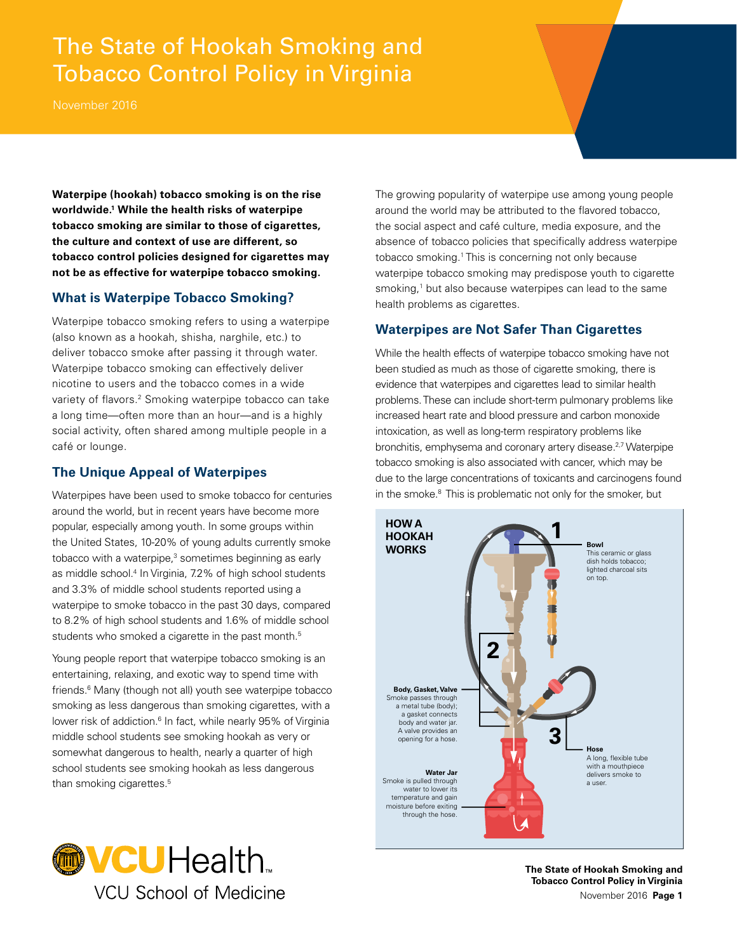# The State of Hookah Smoking and Tobacco Control Policy in Virginia

November 2016

**Waterpipe (hookah) tobacco smoking is on the rise worldwide.1 While the health risks of waterpipe tobacco smoking are similar to those of cigarettes, the culture and context of use are different, so tobacco control policies designed for cigarettes may not be as effective for waterpipe tobacco smoking.** 

### **What is Waterpipe Tobacco Smoking?**

Waterpipe tobacco smoking refers to using a waterpipe (also known as a hookah, shisha, narghile, etc.) to deliver tobacco smoke after passing it through water. Waterpipe tobacco smoking can effectively deliver nicotine to users and the tobacco comes in a wide variety of flavors.<sup>2</sup> Smoking waterpipe tobacco can take a long time—often more than an hour—and is a highly social activity, often shared among multiple people in a café or lounge.

### **The Unique Appeal of Waterpipes**

Waterpipes have been used to smoke tobacco for centuries around the world, but in recent years have become more popular, especially among youth. In some groups within the United States, 10-20% of young adults currently smoke tobacco with a waterpipe, $3$  sometimes beginning as early as middle school.<sup>4</sup> In Virginia, 7.2% of high school students and 3.3% of middle school students reported using a waterpipe to smoke tobacco in the past 30 days, compared to 8.2% of high school students and 1.6% of middle school students who smoked a cigarette in the past month.<sup>5</sup>

Young people report that waterpipe tobacco smoking is an entertaining, relaxing, and exotic way to spend time with friends.<sup>6</sup> Many (though not all) youth see waterpipe tobacco smoking as less dangerous than smoking cigarettes, with a lower risk of addiction.<sup>6</sup> In fact, while nearly 95% of Virginia middle school students see smoking hookah as very or somewhat dangerous to health, nearly a quarter of high school students see smoking hookah as less dangerous than smoking cigarettes.<sup>5</sup>



The growing popularity of waterpipe use among young people around the world may be attributed to the favored tobacco, the social aspect and café culture, media exposure, and the absence of tobacco policies that specifically address waterpipe tobacco smoking.1 This is concerning not only because waterpipe tobacco smoking may predispose youth to cigarette smoking,<sup>1</sup> but also because waterpipes can lead to the same health problems as cigarettes.

# **Waterpipes are Not Safer Than Cigarettes**

in the smoke.<sup>8</sup> This is problematic not only for the smoker, but While the health effects of waterpipe tobacco smoking have not been studied as much as those of cigarette smoking, there is evidence that waterpipes and cigarettes lead to similar health problems. These can include short-term pulmonary problems like increased heart rate and blood pressure and carbon monoxide intoxication, as well as long-term respiratory problems like bronchitis, emphysema and coronary artery disease.<sup>2,7</sup> Waterpipe tobacco smoking is also associated with cancer, which may be due to the large concentrations of toxicants and carcinogens found



**The State of Hookah Smoking and Tobacco Control Policy in Virginia**  November 2016 **Page 1**